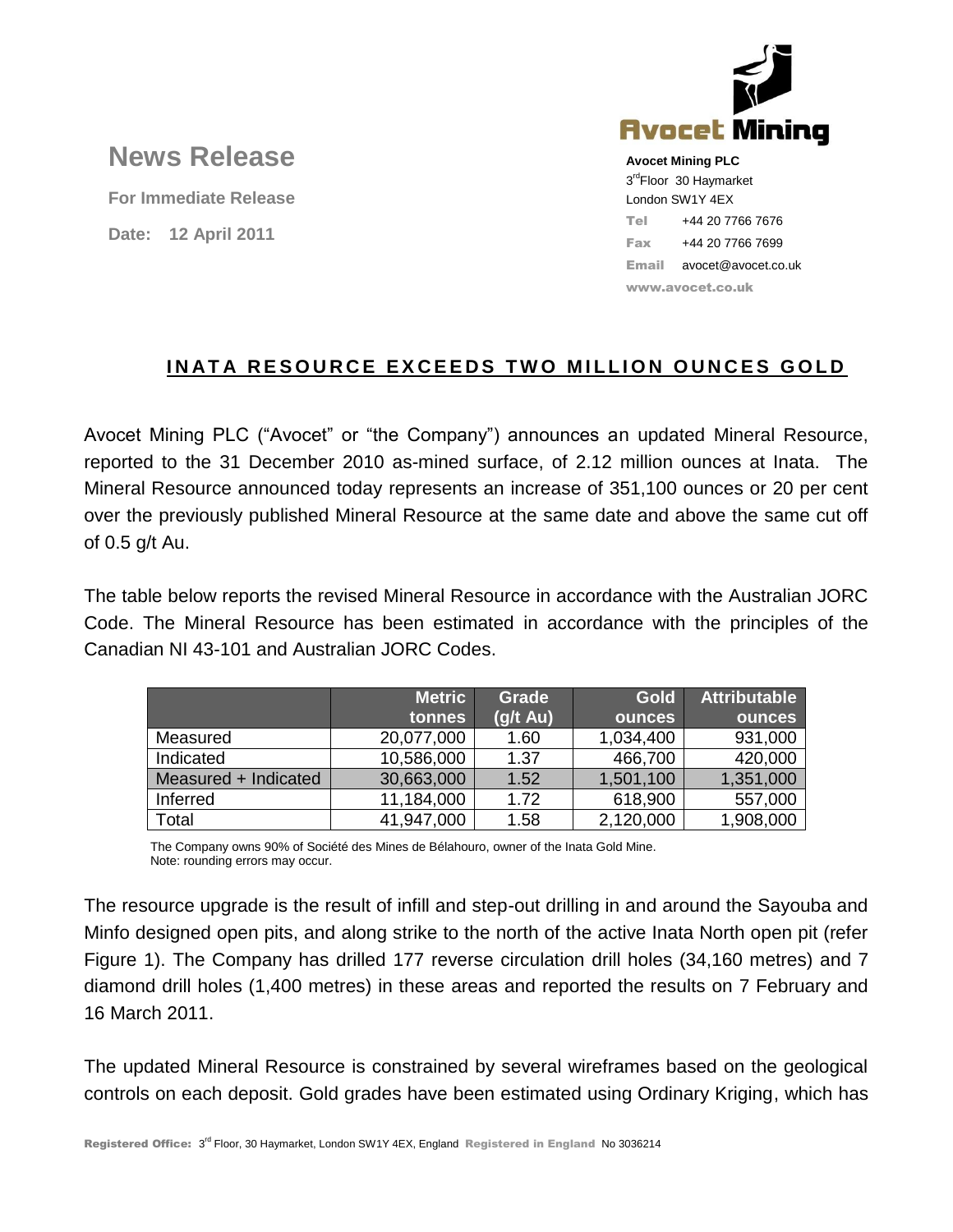

## **News Release**

**For Immediate Release Date: 12 April 2011**

**Avocet Mining PLC** 3<sup>rd</sup>Floor 30 Haymarket London SW1Y 4EX Tel +44 20 7766 7676 Fax +44 20 7766 7699 Email avocet@avocet.co.uk www.avocet.co.uk

## **INATA RESOURCE EXCEEDS TWO MILLION OUNCES GOLD**

Avocet Mining PLC ("Avocet" or "the Company") announces an updated Mineral Resource, reported to the 31 December 2010 as-mined surface, of 2.12 million ounces at Inata. The Mineral Resource announced today represents an increase of 351,100 ounces or 20 per cent over the previously published Mineral Resource at the same date and above the same cut off of 0.5 g/t Au.

The table below reports the revised Mineral Resource in accordance with the Australian JORC Code. The Mineral Resource has been estimated in accordance with the principles of the Canadian NI 43-101 and Australian JORC Codes.

|                      | <b>Metric</b> | Grade              | <b>Gold</b>   | <b>Attributable</b> |
|----------------------|---------------|--------------------|---------------|---------------------|
|                      | tonnes        | $(g/t \text{ Au})$ | <b>ounces</b> | <b>ounces</b>       |
| Measured             | 20,077,000    | 1.60               | 1,034,400     | 931,000             |
| Indicated            | 10,586,000    | 1.37               | 466,700       | 420,000             |
| Measured + Indicated | 30,663,000    | 1.52               | 1,501,100     | 1,351,000           |
| Inferred             | 11,184,000    | 1.72               | 618,900       | 557,000             |
| Total                | 41,947,000    | 1.58               | 2,120,000     | 1,908,000           |

The Company owns 90% of Société des Mines de Bélahouro, owner of the Inata Gold Mine. Note: rounding errors may occur.

The resource upgrade is the result of infill and step-out drilling in and around the Sayouba and Minfo designed open pits, and along strike to the north of the active Inata North open pit (refer Figure 1). The Company has drilled 177 reverse circulation drill holes (34,160 metres) and 7 diamond drill holes (1,400 metres) in these areas and reported the results on 7 February and 16 March 2011.

The updated Mineral Resource is constrained by several wireframes based on the geological controls on each deposit. Gold grades have been estimated using Ordinary Kriging, which has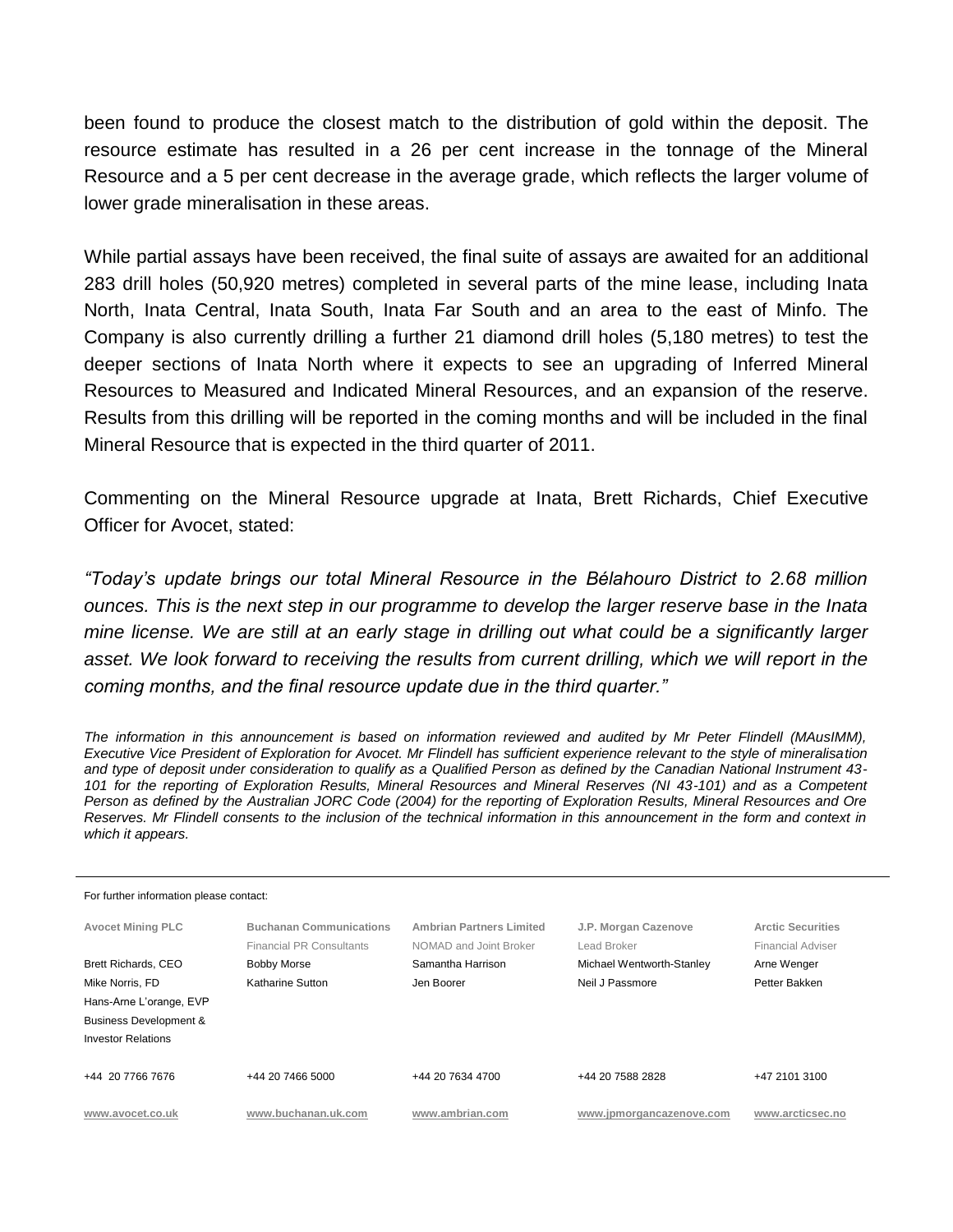been found to produce the closest match to the distribution of gold within the deposit. The resource estimate has resulted in a 26 per cent increase in the tonnage of the Mineral Resource and a 5 per cent decrease in the average grade, which reflects the larger volume of lower grade mineralisation in these areas.

While partial assays have been received, the final suite of assays are awaited for an additional 283 drill holes (50,920 metres) completed in several parts of the mine lease, including Inata North, Inata Central, Inata South, Inata Far South and an area to the east of Minfo. The Company is also currently drilling a further 21 diamond drill holes (5,180 metres) to test the deeper sections of Inata North where it expects to see an upgrading of Inferred Mineral Resources to Measured and Indicated Mineral Resources, and an expansion of the reserve. Results from this drilling will be reported in the coming months and will be included in the final Mineral Resource that is expected in the third quarter of 2011.

Commenting on the Mineral Resource upgrade at Inata, Brett Richards, Chief Executive Officer for Avocet, stated:

*"Today's update brings our total Mineral Resource in the Bélahouro District to 2.68 million ounces. This is the next step in our programme to develop the larger reserve base in the Inata mine license. We are still at an early stage in drilling out what could be a significantly larger*  asset. We look forward to receiving the results from current drilling, which we will report in the *coming months, and the final resource update due in the third quarter."*

*The information in this announcement is based on information reviewed and audited by Mr Peter Flindell (MAusIMM), Executive Vice President of Exploration for Avocet. Mr Flindell has sufficient experience relevant to the style of mineralisation and type of deposit under consideration to qualify as a Qualified Person as defined by the Canadian National Instrument 43- 101 for the reporting of Exploration Results, Mineral Resources and Mineral Reserves (NI 43-101) and as a Competent Person as defined by the Australian JORC Code (2004) for the reporting of Exploration Results, Mineral Resources and Ore Reserves. Mr Flindell consents to the inclusion of the technical information in this announcement in the form and context in which it appears.* 

| For further information please contact: |                                 |                                 |                           |                          |  |  |  |  |
|-----------------------------------------|---------------------------------|---------------------------------|---------------------------|--------------------------|--|--|--|--|
| <b>Avocet Mining PLC</b>                | <b>Buchanan Communications</b>  | <b>Ambrian Partners Limited</b> | J.P. Morgan Cazenove      | <b>Arctic Securities</b> |  |  |  |  |
|                                         | <b>Financial PR Consultants</b> | NOMAD and Joint Broker          | Lead Broker               | Financial Adviser        |  |  |  |  |
| Brett Richards, CEO                     | <b>Bobby Morse</b>              | Samantha Harrison               | Michael Wentworth-Stanley | Arne Wenger              |  |  |  |  |
| Mike Norris, FD                         | Katharine Sutton                | Jen Boorer                      | Neil J Passmore           | Petter Bakken            |  |  |  |  |
| Hans-Arne L'orange, EVP                 |                                 |                                 |                           |                          |  |  |  |  |
| <b>Business Development &amp;</b>       |                                 |                                 |                           |                          |  |  |  |  |
| <b>Investor Relations</b>               |                                 |                                 |                           |                          |  |  |  |  |
|                                         |                                 |                                 |                           |                          |  |  |  |  |
| +44 20 7766 7676                        | +44 20 7466 5000                | +44 20 7634 4700                | +44 20 7588 2828          | +47 2101 3100            |  |  |  |  |
|                                         |                                 |                                 |                           |                          |  |  |  |  |
| www.avocet.co.uk                        | www.buchanan.uk.com             | www.ambrian.com                 | www.ipmorgancazenove.com  | www.arcticsec.no         |  |  |  |  |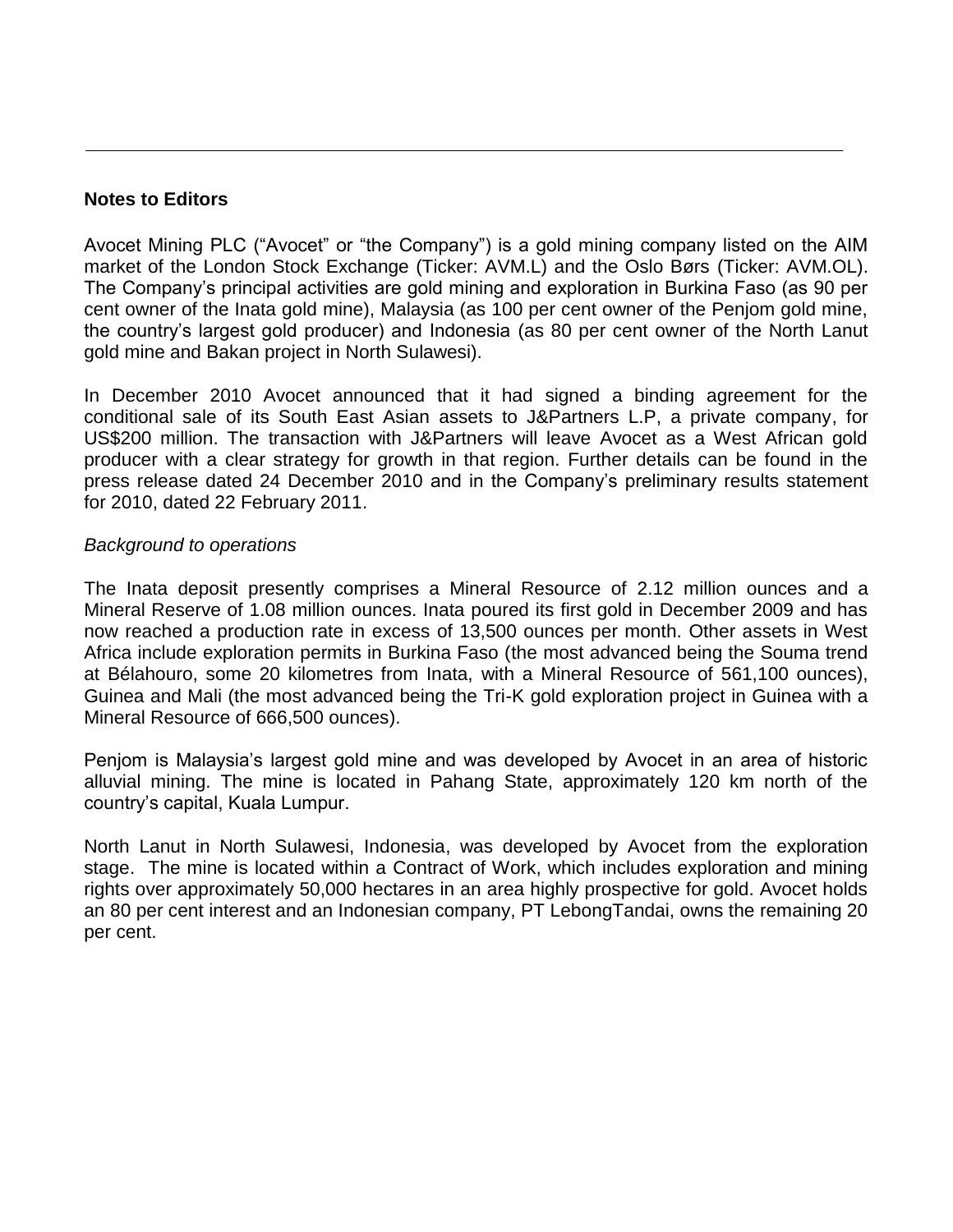## **Notes to Editors**

Avocet Mining PLC ("Avocet" or "the Company") is a gold mining company listed on the AIM market of the London Stock Exchange (Ticker: AVM.L) and the Oslo Børs (Ticker: AVM.OL). The Company's principal activities are gold mining and exploration in Burkina Faso (as 90 per cent owner of the Inata gold mine), Malaysia (as 100 per cent owner of the Penjom gold mine, the country's largest gold producer) and Indonesia (as 80 per cent owner of the North Lanut gold mine and Bakan project in North Sulawesi).

In December 2010 Avocet announced that it had signed a binding agreement for the conditional sale of its South East Asian assets to J&Partners L.P, a private company, for US\$200 million. The transaction with J&Partners will leave Avocet as a West African gold producer with a clear strategy for growth in that region. Further details can be found in the press release dated 24 December 2010 and in the Company's preliminary results statement for 2010, dated 22 February 2011.

## *Background to operations*

The Inata deposit presently comprises a Mineral Resource of 2.12 million ounces and a Mineral Reserve of 1.08 million ounces. Inata poured its first gold in December 2009 and has now reached a production rate in excess of 13,500 ounces per month. Other assets in West Africa include exploration permits in Burkina Faso (the most advanced being the Souma trend at Bélahouro, some 20 kilometres from Inata, with a Mineral Resource of 561,100 ounces), Guinea and Mali (the most advanced being the Tri-K gold exploration project in Guinea with a Mineral Resource of 666,500 ounces).

Penjom is Malaysia's largest gold mine and was developed by Avocet in an area of historic alluvial mining. The mine is located in Pahang State, approximately 120 km north of the country's capital, Kuala Lumpur.

North Lanut in North Sulawesi, Indonesia, was developed by Avocet from the exploration stage. The mine is located within a Contract of Work, which includes exploration and mining rights over approximately 50,000 hectares in an area highly prospective for gold. Avocet holds an 80 per cent interest and an Indonesian company, PT LebongTandai, owns the remaining 20 per cent.